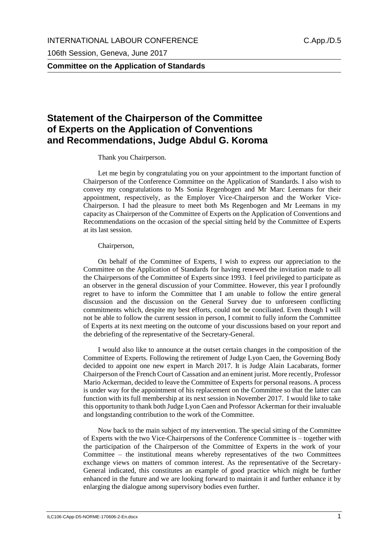106th Session, Geneva, June 2017

**Committee on the Application of Standards**

## **Statement of the Chairperson of the Committee of Experts on the Application of Conventions and Recommendations, Judge Abdul G. Koroma**

## Thank you Chairperson.

Let me begin by congratulating you on your appointment to the important function of Chairperson of the Conference Committee on the Application of Standards. I also wish to convey my congratulations to Ms Sonia Regenbogen and Mr Marc Leemans for their appointment, respectively, as the Employer Vice-Chairperson and the Worker Vice-Chairperson. I had the pleasure to meet both Ms Regenbogen and Mr Leemans in my capacity as Chairperson of the Committee of Experts on the Application of Conventions and Recommendations on the occasion of the special sitting held by the Committee of Experts at its last session.

## Chairperson,

On behalf of the Committee of Experts, I wish to express our appreciation to the Committee on the Application of Standards for having renewed the invitation made to all the Chairpersons of the Committee of Experts since 1993. I feel privileged to participate as an observer in the general discussion of your Committee. However, this year I profoundly regret to have to inform the Committee that I am unable to follow the entire general discussion and the discussion on the General Survey due to unforeseen conflicting commitments which, despite my best efforts, could not be conciliated. Even though I will not be able to follow the current session in person, I commit to fully inform the Committee of Experts at its next meeting on the outcome of your discussions based on your report and the debriefing of the representative of the Secretary-General.

I would also like to announce at the outset certain changes in the composition of the Committee of Experts. Following the retirement of Judge Lyon Caen, the Governing Body decided to appoint one new expert in March 2017. It is Judge Alain Lacabarats, former Chairperson of the French Court of Cassation and an eminent jurist. More recently, Professor Mario Ackerman, decided to leave the Committee of Experts for personal reasons. A process is under way for the appointment of his replacement on the Committee so that the latter can function with its full membership at its next session in November 2017. I would like to take this opportunity to thank both Judge Lyon Caen and Professor Ackerman for their invaluable and longstanding contribution to the work of the Committee.

Now back to the main subject of my intervention. The special sitting of the Committee of Experts with the two Vice-Chairpersons of the Conference Committee is – together with the participation of the Chairperson of the Committee of Experts in the work of your Committee – the institutional means whereby representatives of the two Committees exchange views on matters of common interest. As the representative of the Secretary-General indicated, this constitutes an example of good practice which might be further enhanced in the future and we are looking forward to maintain it and further enhance it by enlarging the dialogue among supervisory bodies even further.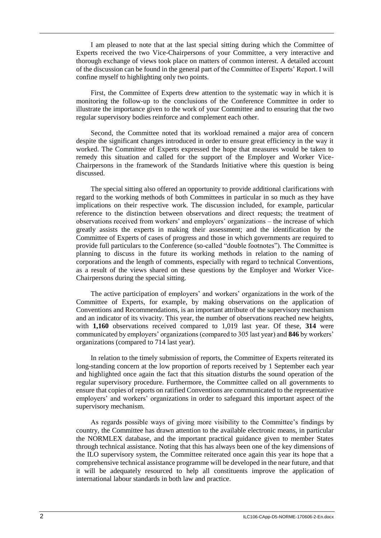I am pleased to note that at the last special sitting during which the Committee of Experts received the two Vice-Chairpersons of your Committee, a very interactive and thorough exchange of views took place on matters of common interest. A detailed account of the discussion can be found in the general part of the Committee of Experts' Report. I will confine myself to highlighting only two points.

First, the Committee of Experts drew attention to the systematic way in which it is monitoring the follow-up to the conclusions of the Conference Committee in order to illustrate the importance given to the work of your Committee and to ensuring that the two regular supervisory bodies reinforce and complement each other.

Second, the Committee noted that its workload remained a major area of concern despite the significant changes introduced in order to ensure great efficiency in the way it worked. The Committee of Experts expressed the hope that measures would be taken to remedy this situation and called for the support of the Employer and Worker Vice-Chairpersons in the framework of the Standards Initiative where this question is being discussed.

The special sitting also offered an opportunity to provide additional clarifications with regard to the working methods of both Committees in particular in so much as they have implications on their respective work. The discussion included, for example, particular reference to the distinction between observations and direct requests; the treatment of observations received from workers' and employers' organizations – the increase of which greatly assists the experts in making their assessment; and the identification by the Committee of Experts of cases of progress and those in which governments are required to provide full particulars to the Conference (so-called "double footnotes"). The Committee is planning to discuss in the future its working methods in relation to the naming of corporations and the length of comments, especially with regard to technical Conventions, as a result of the views shared on these questions by the Employer and Worker Vice-Chairpersons during the special sitting.

The active participation of employers' and workers' organizations in the work of the Committee of Experts, for example, by making observations on the application of Conventions and Recommendations, is an important attribute of the supervisory mechanism and an indicator of its vivacity. This year, the number of observations reached new heights, with **1,160** observations received compared to 1,019 last year. Of these, **314** were communicated by employers' organizations (compared to 305 last year) and **846** by workers' organizations (compared to 714 last year).

In relation to the timely submission of reports, the Committee of Experts reiterated its long-standing concern at the low proportion of reports received by 1 September each year and highlighted once again the fact that this situation disturbs the sound operation of the regular supervisory procedure. Furthermore, the Committee called on all governments to ensure that copies of reports on ratified Conventions are communicated to the representative employers' and workers' organizations in order to safeguard this important aspect of the supervisory mechanism.

As regards possible ways of giving more visibility to the Committee's findings by country, the Committee has drawn attention to the available electronic means, in particular the NORMLEX database, and the important practical guidance given to member States through technical assistance. Noting that this has always been one of the key dimensions of the ILO supervisory system, the Committee reiterated once again this year its hope that a comprehensive technical assistance programme will be developed in the near future, and that it will be adequately resourced to help all constituents improve the application of international labour standards in both law and practice.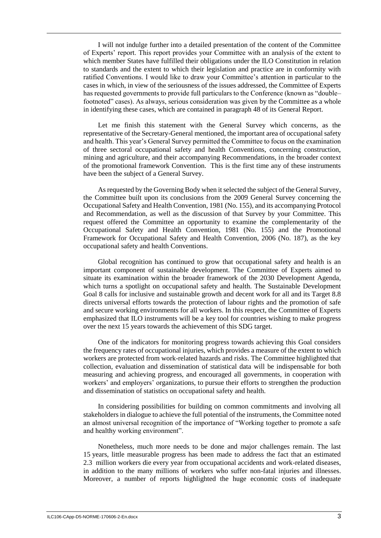I will not indulge further into a detailed presentation of the content of the Committee of Experts' report. This report provides your Committee with an analysis of the extent to which member States have fulfilled their obligations under the ILO Constitution in relation to standards and the extent to which their legislation and practice are in conformity with ratified Conventions. I would like to draw your Committee's attention in particular to the cases in which, in view of the seriousness of the issues addressed, the Committee of Experts has requested governments to provide full particulars to the Conference (known as "double– footnoted" cases). As always, serious consideration was given by the Committee as a whole in identifying these cases, which are contained in paragraph 48 of its General Report.

Let me finish this statement with the General Survey which concerns, as the representative of the Secretary-General mentioned, the important area of occupational safety and health. This year's General Survey permitted the Committee to focus on the examination of three sectoral occupational safety and health Conventions, concerning construction, mining and agriculture, and their accompanying Recommendations, in the broader context of the promotional framework Convention. This is the first time any of these instruments have been the subject of a General Survey.

As requested by the Governing Body when it selected the subject of the General Survey, the Committee built upon its conclusions from the 2009 General Survey concerning the Occupational Safety and Health Convention, 1981 (No. 155), and its accompanying Protocol and Recommendation, as well as the discussion of that Survey by your Committee. This request offered the Committee an opportunity to examine the complementarity of the Occupational Safety and Health Convention, 1981 (No. 155) and the Promotional Framework for Occupational Safety and Health Convention, 2006 (No. 187), as the key occupational safety and health Conventions.

Global recognition has continued to grow that occupational safety and health is an important component of sustainable development. The Committee of Experts aimed to situate its examination within the broader framework of the 2030 Development Agenda, which turns a spotlight on occupational safety and health. The Sustainable Development Goal 8 calls for inclusive and sustainable growth and decent work for all and its Target 8.8 directs universal efforts towards the protection of labour rights and the promotion of safe and secure working environments for all workers. In this respect, the Committee of Experts emphasized that ILO instruments will be a key tool for countries wishing to make progress over the next 15 years towards the achievement of this SDG target.

One of the indicators for monitoring progress towards achieving this Goal considers the frequency rates of occupational injuries, which provides a measure of the extent to which workers are protected from work-related hazards and risks. The Committee highlighted that collection, evaluation and dissemination of statistical data will be indispensable for both measuring and achieving progress, and encouraged all governments, in cooperation with workers' and employers' organizations, to pursue their efforts to strengthen the production and dissemination of statistics on occupational safety and health.

In considering possibilities for building on common commitments and involving all stakeholders in dialogue to achieve the full potential of the instruments, the Committee noted an almost universal recognition of the importance of "Working together to promote a safe and healthy working environment".

Nonetheless, much more needs to be done and major challenges remain. The last 15 years, little measurable progress has been made to address the fact that an estimated 2.3 million workers die every year from occupational accidents and work-related diseases, in addition to the many millions of workers who suffer non-fatal injuries and illnesses. Moreover, a number of reports highlighted the huge economic costs of inadequate